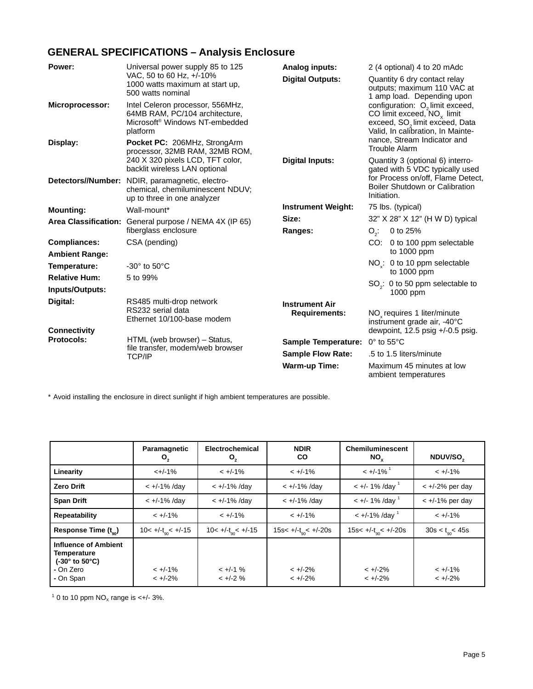# **GENERAL SPECIFICATIONS – Analysis Enclosure**

| Power:                            | Universal power supply 85 to 125                                                                                             | <b>Analog inputs:</b>                         | 2 (4 optional) 4 to 20 mAdc                                                                                                                                     |
|-----------------------------------|------------------------------------------------------------------------------------------------------------------------------|-----------------------------------------------|-----------------------------------------------------------------------------------------------------------------------------------------------------------------|
|                                   | VAC, 50 to 60 Hz, +/-10%<br>1000 watts maximum at start up,<br>500 watts nominal                                             | <b>Digital Outputs:</b>                       | Quantity 6 dry contact relay<br>outputs; maximum 110 VAC at<br>1 amp load. Depending upon                                                                       |
| Microprocessor:                   | Intel Celeron processor, 556MHz,<br>64MB RAM, PC/104 architecture,<br>Microsoft <sup>®</sup> Windows NT-embedded<br>platform |                                               | configuration: O <sub>2</sub> limit exceed,<br>CO limit exceed, $NO_x$ limit<br>exceed, SO <sub>2</sub> limit exceed, Data<br>Valid, In calibration, In Mainte- |
| Display:                          | Pocket PC: 206MHz, StrongArm<br>processor, 32MB RAM, 32MB ROM,                                                               |                                               | nance, Stream Indicator and<br><b>Trouble Alarm</b>                                                                                                             |
|                                   | 240 X 320 pixels LCD, TFT color,<br>backlit wireless LAN optional                                                            | <b>Digital Inputs:</b>                        | Quantity 3 (optional 6) interro-<br>gated with 5 VDC typically used                                                                                             |
|                                   | Detectors//Number: NDIR, paramagnetic, electro-<br>chemical, chemiluminescent NDUV;<br>up to three in one analyzer           |                                               | for Process on/off, Flame Detect,<br>Boiler Shutdown or Calibration<br>Initiation.                                                                              |
| <b>Mounting:</b>                  | Wall-mount*                                                                                                                  | <b>Instrument Weight:</b>                     | 75 lbs. (typical)                                                                                                                                               |
|                                   | Area Classification: General purpose / NEMA 4X (IP 65)                                                                       | Size:                                         | 32" X 28" X 12" (H W D) typical                                                                                                                                 |
|                                   | fiberglass enclosure                                                                                                         | Ranges:                                       | 0 to 25%<br>$O_{\gamma}$ :                                                                                                                                      |
| <b>Compliances:</b>               | CSA (pending)                                                                                                                |                                               | CO: 0 to 100 ppm selectable                                                                                                                                     |
| <b>Ambient Range:</b>             |                                                                                                                              |                                               | to $1000$ ppm                                                                                                                                                   |
| Temperature:                      | $-30^\circ$ to $50^\circ$ C                                                                                                  |                                               | NO <sub>v</sub> : 0 to 10 ppm selectable<br>to $1000$ ppm                                                                                                       |
| <b>Relative Hum:</b>              | 5 to 99%                                                                                                                     |                                               |                                                                                                                                                                 |
| Inputs/Outputs:                   |                                                                                                                              |                                               | $SO2: 0$ to 50 ppm selectable to<br>1000 ppm                                                                                                                    |
| Digital:                          | RS485 multi-drop network<br>RS232 serial data<br>Ethernet 10/100-base modem                                                  | <b>Instrument Air</b><br><b>Requirements:</b> | NO <sub>v</sub> requires 1 liter/minute<br>instrument grade air, -40°C                                                                                          |
| <b>Connectivity</b><br>Protocols: |                                                                                                                              |                                               | dewpoint, 12.5 psig $+/-0.5$ psig.                                                                                                                              |
|                                   | HTML (web browser) – Status,<br>file transfer, modem/web browser                                                             | Sample Temperature: 0° to 55°C                |                                                                                                                                                                 |
|                                   | <b>TCP/IP</b>                                                                                                                | <b>Sample Flow Rate:</b>                      | .5 to 1.5 liters/minute                                                                                                                                         |
|                                   |                                                                                                                              | <b>Warm-up Time:</b>                          | Maximum 45 minutes at low<br>ambient temperatures                                                                                                               |

\* Avoid installing the enclosure in direct sunlight if high ambient temperatures are possible.

|                                                                                                                  | Paramagnetic<br>O,              | Electrochemical<br>O,           | <b>NDIR</b><br><b>CO</b>         | <b>Chemiluminescent</b><br>$NO_{x}$ | NDUV/SO <sub>2</sub>        |
|------------------------------------------------------------------------------------------------------------------|---------------------------------|---------------------------------|----------------------------------|-------------------------------------|-----------------------------|
| Linearity                                                                                                        | $<+/-1%$                        | $< +/-1\%$                      | $< +/-1\%$                       | $< +/-1\%$ <sup>1</sup>             | $< +/-1\%$                  |
| <b>Zero Drift</b>                                                                                                | $< +/-1\%$ /day                 | $< +/-1\%$ /day                 | $< +/-1\%$ /day                  | $< +/- 1\%$ /day                    | $< +/-2\%$ per day          |
| <b>Span Drift</b>                                                                                                | $< +/-1\%$ /day                 | $< +/-1\%$ /day                 | $< +/-1\%$ /day                  | $< +/- 1\%$ /day                    | $\lt$ +/-1% per day         |
| Repeatability                                                                                                    | $< +/-1\%$                      | $< +/-1\%$                      | $< +/-1\%$                       | $< +/-1\%$ /day                     | $< +/-1\%$                  |
| Response Time $(t_{\infty})$                                                                                     | $10 < +/-t_{\text{on}} < +/-15$ | $10 < +/-t_{\text{on}} < +/-15$ | 15s< $+/-t_{\rm{on}}$ < $+/-20s$ | 15s< $+/-t_{\infty}$ < $+/-20s$     | $30s < t_{\text{on}} < 45s$ |
| <b>Influence of Ambient</b><br><b>Temperature</b><br>$(-30^{\circ}$ to $50^{\circ}$ C)<br>- On Zero<br>- On Span | $< +/-1\%$<br>$< +/-2\%$        | $< +/-1$ %<br>$< +/-2$ %        | $< +/-2\%$<br>$< +/-2\%$         | $< +/-2%$<br>$< +/-2\%$             | $< +/-1\%$<br>$< +/-2\%$    |

 $10$  to 10 ppm NO<sub>x</sub> range is <+/- 3%.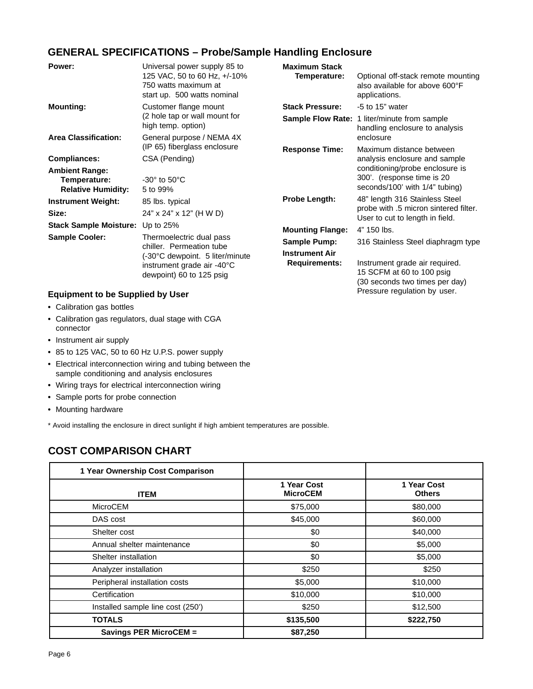## **GENERAL SPECIFICATIONS – Probe/Sample Handling Enclosure**

| Power:                                                                                       | Universal power supply 85 to<br>125 VAC, 50 to 60 Hz, +/-10%<br>750 watts maximum at<br>start up. 500 watts nominal                                                                                            | <b>Maximum Stack</b><br>Temperature:                                                                             | Optional off-stack remote mounting<br>also available for above 600°F<br>applications.                                                                                                                                                                            |
|----------------------------------------------------------------------------------------------|----------------------------------------------------------------------------------------------------------------------------------------------------------------------------------------------------------------|------------------------------------------------------------------------------------------------------------------|------------------------------------------------------------------------------------------------------------------------------------------------------------------------------------------------------------------------------------------------------------------|
| <b>Mounting:</b>                                                                             | Customer flange mount<br>(2 hole tap or wall mount for<br>high temp. option)                                                                                                                                   | <b>Stack Pressure:</b>                                                                                           | -5 to 15" water<br><b>Sample Flow Rate: 1 liter/minute from sample</b><br>handling enclosure to analysis                                                                                                                                                         |
| <b>Area Classification:</b>                                                                  | General purpose / NEMA 4X<br>(IP 65) fiberglass enclosure                                                                                                                                                      | <b>Response Time:</b>                                                                                            | enclosure<br>Maximum distance between                                                                                                                                                                                                                            |
| Compliances:                                                                                 | CSA (Pending)                                                                                                                                                                                                  |                                                                                                                  | analysis enclosure and sample                                                                                                                                                                                                                                    |
| <b>Ambient Range:</b><br>Temperature:<br><b>Relative Humidity:</b>                           | $-30^\circ$ to $50^\circ$ C<br>5 to 99%                                                                                                                                                                        |                                                                                                                  | conditioning/probe enclosure is<br>300'. (response time is 20<br>seconds/100' with 1/4" tubing)                                                                                                                                                                  |
| <b>Instrument Weight:</b><br>Size:<br><b>Stack Sample Moisture:</b><br><b>Sample Cooler:</b> | 85 lbs. typical<br>24" x 24" x 12" (H W D)<br>Up to $25%$<br>Thermoelectric dual pass<br>chiller. Permeation tube<br>(-30°C dewpoint. 5 liter/minute<br>instrument grade air -40°C<br>dewpoint) 60 to 125 psig | <b>Probe Length:</b><br><b>Mounting Flange:</b><br>Sample Pump:<br><b>Instrument Air</b><br><b>Requirements:</b> | 48" length 316 Stainless Steel<br>probe with .5 micron sintered filter.<br>User to cut to length in field.<br>4" 150 lbs.<br>316 Stainless Steel diaphragm type<br>Instrument grade air required.<br>15 SCFM at 60 to 100 psig<br>(30 seconds two times per day) |
| <b>Equinment to be Sunnlied by I lear</b>                                                    |                                                                                                                                                                                                                |                                                                                                                  | Pressure regulation by user.                                                                                                                                                                                                                                     |

### **Equipment to be Supplied by User**

- **•** Calibration gas bottles
- **•** Calibration gas regulators, dual stage with CGA connector
- **•** Instrument air supply
- **•** 85 to 125 VAC, 50 to 60 Hz U.P.S. power supply
- **•** Electrical interconnection wiring and tubing between the sample conditioning and analysis enclosures
- **•** Wiring trays for electrical interconnection wiring
- **•** Sample ports for probe connection
- **•** Mounting hardware

\* Avoid installing the enclosure in direct sunlight if high ambient temperatures are possible.

## **COST COMPARISON CHART**

| 1 Year Ownership Cost Comparison  |                                |                              |
|-----------------------------------|--------------------------------|------------------------------|
| <b>ITEM</b>                       | 1 Year Cost<br><b>MicroCEM</b> | 1 Year Cost<br><b>Others</b> |
| <b>MicroCEM</b>                   | \$75,000                       | \$80,000                     |
| DAS cost                          | \$45,000                       | \$60,000                     |
| Shelter cost                      | \$0                            | \$40,000                     |
| Annual shelter maintenance        | \$0                            | \$5,000                      |
| Shelter installation              | \$0                            | \$5,000                      |
| Analyzer installation             | \$250                          | \$250                        |
| Peripheral installation costs     | \$5,000                        | \$10,000                     |
| Certification                     | \$10,000                       | \$10,000                     |
| Installed sample line cost (250') | \$250                          | \$12,500                     |
| <b>TOTALS</b>                     | \$135,500                      | \$222,750                    |
| <b>Savings PER MicroCEM =</b>     | \$87,250                       |                              |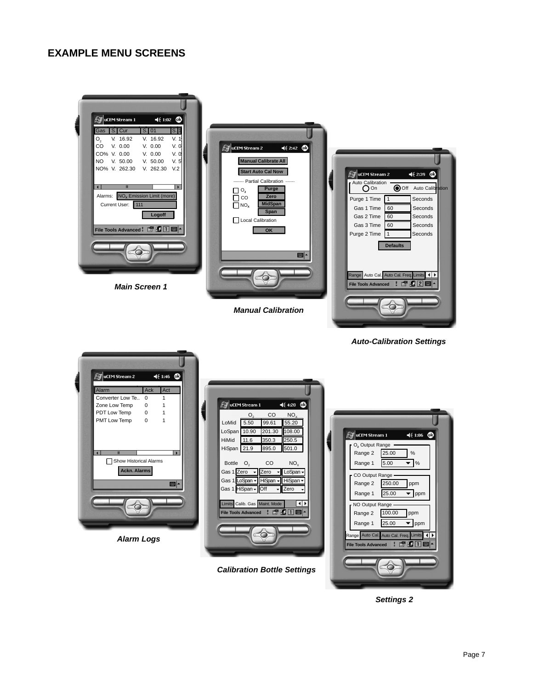### **EXAMPLE MENU SCREENS**



**Settings 2**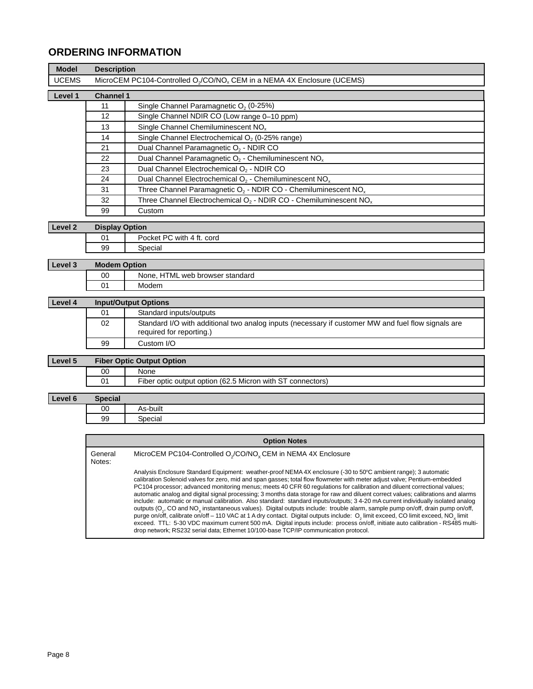## **ORDERING INFORMATION**

| <b>Model</b>       | <b>Description</b>          |                                                                                                                                                                                                                                                                                                                                                                                                                                                                                                                                                                                                                                                                                                                                                 |  |
|--------------------|-----------------------------|-------------------------------------------------------------------------------------------------------------------------------------------------------------------------------------------------------------------------------------------------------------------------------------------------------------------------------------------------------------------------------------------------------------------------------------------------------------------------------------------------------------------------------------------------------------------------------------------------------------------------------------------------------------------------------------------------------------------------------------------------|--|
| <b>UCEMS</b>       |                             | MicroCEM PC104-Controlled O <sub>2</sub> /CO/NO <sub>x</sub> CEM in a NEMA 4X Enclosure (UCEMS)                                                                                                                                                                                                                                                                                                                                                                                                                                                                                                                                                                                                                                                 |  |
| Level 1            | <b>Channel 1</b>            |                                                                                                                                                                                                                                                                                                                                                                                                                                                                                                                                                                                                                                                                                                                                                 |  |
|                    | 11                          | Single Channel Paramagnetic O <sub>2</sub> (0-25%)                                                                                                                                                                                                                                                                                                                                                                                                                                                                                                                                                                                                                                                                                              |  |
|                    | $\overline{12}$             | Single Channel NDIR CO (Low range 0-10 ppm)                                                                                                                                                                                                                                                                                                                                                                                                                                                                                                                                                                                                                                                                                                     |  |
|                    | 13                          | Single Channel Chemiluminescent NO <sub>x</sub>                                                                                                                                                                                                                                                                                                                                                                                                                                                                                                                                                                                                                                                                                                 |  |
|                    | 14                          | Single Channel Electrochemical O <sub>2</sub> (0-25% range)                                                                                                                                                                                                                                                                                                                                                                                                                                                                                                                                                                                                                                                                                     |  |
|                    | 21                          | Dual Channel Paramagnetic O <sub>2</sub> - NDIR CO                                                                                                                                                                                                                                                                                                                                                                                                                                                                                                                                                                                                                                                                                              |  |
|                    | 22                          | Dual Channel Paramagnetic O <sub>2</sub> - Chemiluminescent NO <sub>x</sub>                                                                                                                                                                                                                                                                                                                                                                                                                                                                                                                                                                                                                                                                     |  |
|                    | 23                          | Dual Channel Electrochemical O <sub>2</sub> - NDIR CO                                                                                                                                                                                                                                                                                                                                                                                                                                                                                                                                                                                                                                                                                           |  |
|                    | 24                          | Dual Channel Electrochemical O <sub>2</sub> - Chemiluminescent NO <sub>x</sub>                                                                                                                                                                                                                                                                                                                                                                                                                                                                                                                                                                                                                                                                  |  |
|                    | 31                          | Three Channel Paramagnetic $O_2$ - NDIR CO - Chemiluminescent NO <sub>x</sub>                                                                                                                                                                                                                                                                                                                                                                                                                                                                                                                                                                                                                                                                   |  |
|                    | 32                          | Three Channel Electrochemical $O_2$ - NDIR CO - Chemiluminescent NO <sub>x</sub>                                                                                                                                                                                                                                                                                                                                                                                                                                                                                                                                                                                                                                                                |  |
|                    | 99                          | Custom                                                                                                                                                                                                                                                                                                                                                                                                                                                                                                                                                                                                                                                                                                                                          |  |
| Level <sub>2</sub> | <b>Display Option</b>       |                                                                                                                                                                                                                                                                                                                                                                                                                                                                                                                                                                                                                                                                                                                                                 |  |
|                    | 01                          | Pocket PC with 4 ft. cord                                                                                                                                                                                                                                                                                                                                                                                                                                                                                                                                                                                                                                                                                                                       |  |
|                    | 99                          | Special                                                                                                                                                                                                                                                                                                                                                                                                                                                                                                                                                                                                                                                                                                                                         |  |
|                    |                             |                                                                                                                                                                                                                                                                                                                                                                                                                                                                                                                                                                                                                                                                                                                                                 |  |
| Level 3            | <b>Modem Option</b>         |                                                                                                                                                                                                                                                                                                                                                                                                                                                                                                                                                                                                                                                                                                                                                 |  |
|                    | 00                          | None, HTML web browser standard                                                                                                                                                                                                                                                                                                                                                                                                                                                                                                                                                                                                                                                                                                                 |  |
|                    | 01                          | Modem                                                                                                                                                                                                                                                                                                                                                                                                                                                                                                                                                                                                                                                                                                                                           |  |
| Level 4            | <b>Input/Output Options</b> |                                                                                                                                                                                                                                                                                                                                                                                                                                                                                                                                                                                                                                                                                                                                                 |  |
|                    | 01                          | Standard inputs/outputs                                                                                                                                                                                                                                                                                                                                                                                                                                                                                                                                                                                                                                                                                                                         |  |
|                    | 02                          | Standard I/O with additional two analog inputs (necessary if customer MW and fuel flow signals are<br>required for reporting.)                                                                                                                                                                                                                                                                                                                                                                                                                                                                                                                                                                                                                  |  |
|                    | 99                          | Custom I/O                                                                                                                                                                                                                                                                                                                                                                                                                                                                                                                                                                                                                                                                                                                                      |  |
| Level 5            |                             | <b>Fiber Optic Output Option</b>                                                                                                                                                                                                                                                                                                                                                                                                                                                                                                                                                                                                                                                                                                                |  |
|                    | 00                          | None                                                                                                                                                                                                                                                                                                                                                                                                                                                                                                                                                                                                                                                                                                                                            |  |
|                    | 01                          | Fiber optic output option (62.5 Micron with ST connectors)                                                                                                                                                                                                                                                                                                                                                                                                                                                                                                                                                                                                                                                                                      |  |
| Level 6            | <b>Special</b>              |                                                                                                                                                                                                                                                                                                                                                                                                                                                                                                                                                                                                                                                                                                                                                 |  |
|                    | 00                          | As-built                                                                                                                                                                                                                                                                                                                                                                                                                                                                                                                                                                                                                                                                                                                                        |  |
|                    | 99                          | Special                                                                                                                                                                                                                                                                                                                                                                                                                                                                                                                                                                                                                                                                                                                                         |  |
|                    |                             |                                                                                                                                                                                                                                                                                                                                                                                                                                                                                                                                                                                                                                                                                                                                                 |  |
|                    |                             | <b>Option Notes</b>                                                                                                                                                                                                                                                                                                                                                                                                                                                                                                                                                                                                                                                                                                                             |  |
|                    | General<br>Notes:           | MicroCEM PC104-Controlled O <sub>2</sub> /CO/NO <sub>x</sub> CEM in NEMA 4X Enclosure                                                                                                                                                                                                                                                                                                                                                                                                                                                                                                                                                                                                                                                           |  |
|                    |                             | Analysis Enclosure Standard Equipment: weather-proof NEMA 4X enclosure (-30 to 50°C ambient range); 3 automatic<br>calibration Solenoid valves for zero, mid and span gasses; total flow flowmeter with meter adjust valve; Pentium-embedded<br>PC104 processor; advanced monitoring menus; meets 40 CFR 60 regulations for calibration and diluent correctional values;<br>automatic analog and digital signal processing; 3 months data storage for raw and diluent correct values; calibrations and alarms<br>is during in demonstration designations des productions des des des deux des deuxs de la dinstruction du duplis de la dinsideration de la dinsideration de la dinsideration de la dinsideration de la dinsideration de la dins |  |

include: automatic or manual calibration. Also standard: standard inputs/outputs; 3 4-20 mA current individually isolated analog outputs (O $_2$ , CO and NO $_\chi$  instantaneous values). Digital outputs include: trouble alarm, sample pump on/off, drain pump on/off, purge on/off, calibrate on/off – 110 VAC at 1 A dry contact. Digital outputs include: O<sub>2</sub> limit exceed, CO limit exceed, NO<sub>x</sub> limit<br>exceed. TTL: 5-30 VDC maximum current 500 mA. Digital inputs include: process on/of drop network; RS232 serial data; Ethernet 10/100-base TCP/IP communication protocol.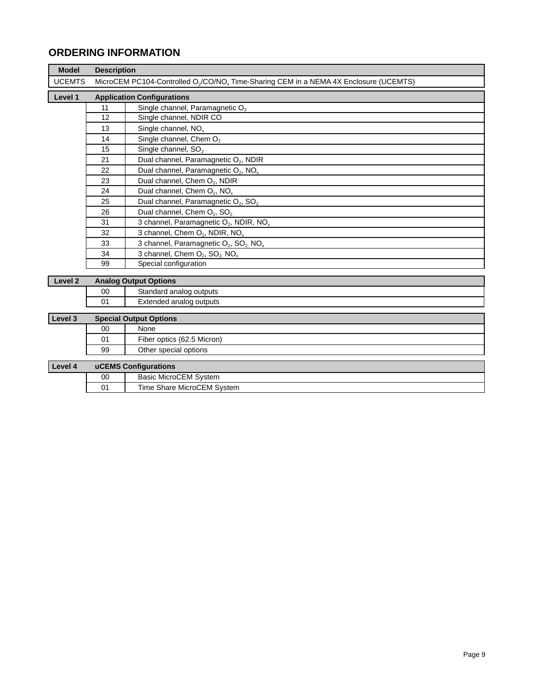# **ORDERING INFORMATION**

| <b>Model</b>       |    | <b>Description</b>                                                                                            |  |  |
|--------------------|----|---------------------------------------------------------------------------------------------------------------|--|--|
| <b>UCEMTS</b>      |    | MicroCEM PC104-Controlled O <sub>2</sub> /CO/NO <sub>x</sub> Time-Sharing CEM in a NEMA 4X Enclosure (UCEMTS) |  |  |
| Level 1            |    | <b>Application Configurations</b>                                                                             |  |  |
|                    | 11 | Single channel, Paramagnetic O <sub>2</sub>                                                                   |  |  |
|                    | 12 | Single channel, NDIR CO                                                                                       |  |  |
|                    | 13 | Single channel, NO <sub>x</sub>                                                                               |  |  |
|                    | 14 | Single channel, Chem $O2$                                                                                     |  |  |
|                    | 15 | Single channel, SO <sub>2</sub>                                                                               |  |  |
|                    | 21 | Dual channel, Paramagnetic O <sub>2</sub> , NDIR                                                              |  |  |
|                    | 22 | Dual channel, Paramagnetic O <sub>2</sub> , NO <sub>x</sub>                                                   |  |  |
|                    | 23 | Dual channel, Chem O <sub>2</sub> , NDIR                                                                      |  |  |
|                    | 24 | Dual channel, Chem $O_2$ , NO <sub>x</sub>                                                                    |  |  |
|                    | 25 | Dual channel, Paramagnetic O <sub>2</sub> , SO <sub>2</sub>                                                   |  |  |
|                    | 26 | Dual channel, Chem O <sub>2</sub> , SO <sub>2</sub>                                                           |  |  |
|                    | 31 | 3 channel, Paramagnetic $O_2$ , NDIR, NO <sub>x</sub>                                                         |  |  |
|                    | 32 | 3 channel, Chem O <sub>2</sub> , NDIR, NO <sub>x</sub>                                                        |  |  |
|                    | 33 | 3 channel, Paramagnetic O <sub>2</sub> , SO <sub>2</sub> NO <sub>x</sub>                                      |  |  |
|                    | 34 | 3 channel, Chem O <sub>2</sub> , SO <sub>2</sub> NO <sub>x</sub>                                              |  |  |
|                    | 99 | Special configuration                                                                                         |  |  |
|                    |    |                                                                                                               |  |  |
| Level <sub>2</sub> |    | <b>Analog Output Options</b>                                                                                  |  |  |
|                    | 00 | Standard analog outputs                                                                                       |  |  |

01 Extended analog outputs

| Level 3 |    | <b>Special Output Options</b> |
|---------|----|-------------------------------|
|         | 00 | None                          |
|         | 01 | Fiber optics (62.5 Micron)    |
|         | 99 | Other special options         |
|         |    |                               |
| Level 4 |    | uCEMS Configurations          |
|         | 00 | <b>Basic MicroCEM System</b>  |
|         | 01 | Time Share MicroCEM System    |